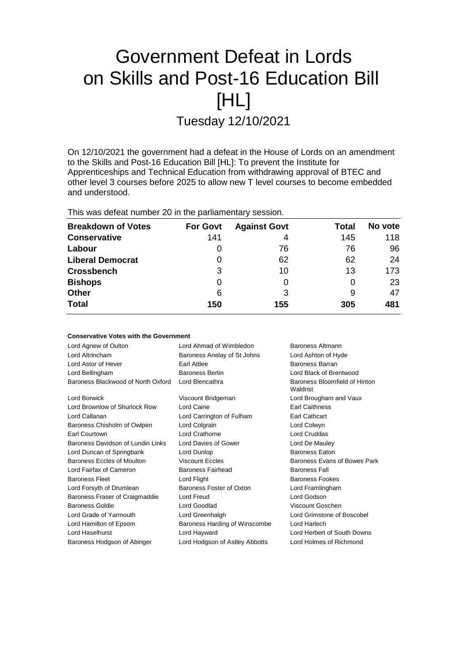# Government Defeat in Lords on Skills and Post-16 Education Bill [HL]

Tuesday 12/10/2021

On 12/10/2021 the government had a defeat in the House of Lords on an amendment to the Skills and Post-16 Education Bill [HL]: To prevent the Institute for Apprenticeships and Technical Education from withdrawing approval of BTEC and other level 3 courses before 2025 to allow new T level courses to become embedded and understood.

This was defeat number 20 in the parliamentary session.

**Conservative Votes with the Government**

| <b>Breakdown of Votes</b> | <b>For Govt</b> | <b>Against Govt</b> | Total | No vote |
|---------------------------|-----------------|---------------------|-------|---------|
| <b>Conservative</b>       | 141             | 4                   | 145   | 118     |
| Labour                    | 0               | 76                  | 76    | 96      |
| <b>Liberal Democrat</b>   | 0               | 62                  | 62    | 24      |
| <b>Crossbench</b>         | 3               | 10                  | 13    | 173     |
| <b>Bishops</b>            | 0               |                     | 0     | 23      |
| <b>Other</b>              | 6               | 3                   | 9     | 47      |
| <b>Total</b>              | 150             | 155                 | 305   | 481     |

| CONSERVATIVE AOIES MILIT THE QUAELITIIE III |                                               |                                           |  |
|---------------------------------------------|-----------------------------------------------|-------------------------------------------|--|
| Lord Agnew of Oulton                        | Lord Ahmad of Wimbledon<br>Baroness Altmann   |                                           |  |
| Lord Altrincham                             | Baroness Anelay of St Johns                   | Lord Ashton of Hyde                       |  |
| Lord Astor of Hever                         | Earl Attlee                                   | <b>Baroness Barran</b>                    |  |
| Lord Bellingham                             | <b>Baroness Bertin</b>                        | Lord Black of Brentwood                   |  |
| Baroness Blackwood of North Oxford          | Lord Blencathra                               | Baroness Bloomfield of Hinton<br>Waldrist |  |
| Lord Borwick                                | Viscount Bridgeman                            | Lord Brougham and Vaux                    |  |
| Lord Brownlow of Shurlock Row               | Lord Caine                                    | <b>Earl Caithness</b>                     |  |
| Lord Callanan                               | Lord Carrington of Fulham                     | Earl Cathcart                             |  |
| Baroness Chisholm of Owlpen                 | Lord Colgrain                                 | Lord Colwyn                               |  |
| Earl Courtown                               | Lord Crathorne                                | <b>Lord Cruddas</b>                       |  |
| Baroness Davidson of Lundin Links           | Lord Davies of Gower                          | Lord De Mauley                            |  |
| Lord Duncan of Springbank                   | Lord Dunlop                                   | <b>Baroness Eaton</b>                     |  |
| Baroness Eccles of Moulton                  | <b>Viscount Eccles</b>                        | Baroness Evans of Bowes Park              |  |
| Lord Fairfax of Cameron                     | <b>Baroness Fairhead</b>                      | <b>Baroness Fall</b>                      |  |
| <b>Baroness Fleet</b>                       | Lord Flight                                   | <b>Baroness Fookes</b>                    |  |
| Lord Forsyth of Drumlean                    | Baroness Foster of Oxton                      | Lord Framlingham                          |  |
| Baroness Fraser of Craigmaddie              | Lord Freud                                    | Lord Godson                               |  |
| <b>Baroness Goldie</b>                      | Lord Goodlad                                  | Viscount Goschen                          |  |
| Lord Grade of Yarmouth                      | Lord Greenhalgh                               | Lord Grimstone of Boscobel                |  |
| Lord Hamilton of Epsom                      | Baroness Harding of Winscombe<br>Lord Harlech |                                           |  |
| Lord Haselhurst                             | Lord Hayward                                  | Lord Herbert of South Downs               |  |
| Baroness Hodgson of Abinger                 | Lord Hodgson of Astley Abbotts                | Lord Holmes of Richmond                   |  |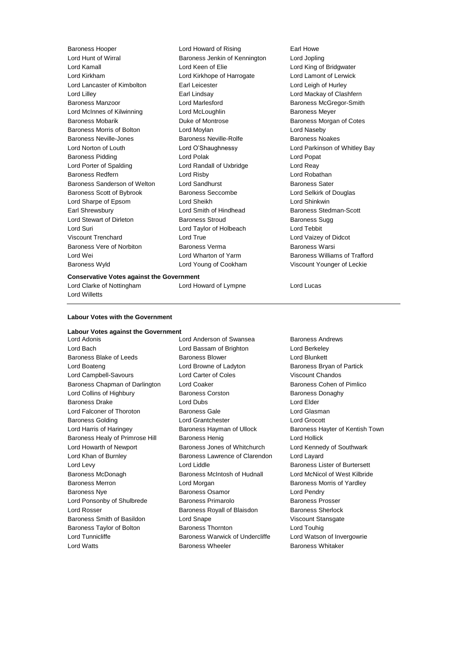Baroness Hooper **Lord Howard of Rising** Earl Howe Lord Hunt of Wirral Baroness Jenkin of Kennington Lord Jopling Lord Kamall Lord Keen of Elie Lord King of Bridgwater Lord Kirkham Lord Kirkhope of Harrogate Lord Lamont of Lerwick Lord Lancaster of Kimbolton **Earl Leicester Earl Leigh of Hurley** Lord Leigh of Hurley Lord Lilley Earl Lindsay Lord Mackay of Clashfern Baroness Manzoor Lord Marlesford Baroness McGregor-Smith Lord McInnes of Kilwinning **Lord McLoughlin Communist Communist Communist Communist Communist Communist Communist Communist Communist Communist Communist Communist Communist Communist Communist Communist Communist Commun** Baroness Mobarik **Baroness Mobarik Communist Controse** Baroness Morgan of Cotes Baroness Morris of Bolton Lord Moylan Lord Naseby Baroness Neville-Jones **Baroness Neville-Rolfe** Baroness Noakes Lord Norton of Louth Lord O'Shaughnessy Lord Parkinson of Whitley Bay Baroness Pidding Lord Polak Lord Popat Lord Porter of Spalding **Lord Randall of Uxbridge** Lord Reay Baroness Redfern Lord Risby Lord Robathan Baroness Sanderson of Welton Lord Sandhurst **Baroness Sater** Baroness Sater Baroness Scott of Bybrook Baroness Seccombe Lord Selkirk of Douglas Lord Sharpe of Epsom Lord Sheikh Lord Shinkwin Earl Shrewsbury **Example 20** Lord Smith of Hindhead **Baroness** Stedman-Scott Lord Stewart of Dirleton **Baroness Stroud** Baroness Sugg Lord Suri Lord Taylor of Holbeach Lord Tebbit Viscount Trenchard Lord True Lord Vaizey of Didcot Baroness Vere of Norbiton Baroness Verma Baroness Warsi Lord Wei Lord Wharton of Yarm Baroness Williams of Trafford Baroness Wyld Lord Young of Cookham Viscount Younger of Leckie

#### **Conservative Votes against the Government**

Lord Clarke of Nottingham Lord Howard of Lympne Lord Lucas

#### **Labour Votes with the Government**

Lord Willetts

### **Labour Votes against the Government**

Lord Bach Lord Bassam of Brighton Lord Berkeley Baroness Blake of Leeds Baroness Blower Baroness Blower Lord Blunkett Lord Boateng **Lord Browne of Ladyton** Baroness Bryan of Partick Lord Campbell-Savours **Lord Carter of Coles** Viscount Chandos Baroness Chapman of Darlington Lord Coaker **Baroness Cohen of Pimlico** Baroness Cohen of Pimlico Lord Collins of Highbury Baroness Corston Baroness Donaghy Baroness Drake **Lord Dubs** Lord Dubs **Lord Elder** Lord Falconer of Thoroton **Baroness Gale Lord Glasman** Baroness Golding Lord Grantchester Lord Grocott Lord Harris of Haringey **Baroness Hayman of Ullock** Baroness Hayter of Kentish Town Baroness Healy of Primrose Hill Baroness Henig Contract Rend Hollick Lord Howarth of Newport Baroness Jones of Whitchurch Lord Kennedy of Southwark Lord Khan of Burnley Baroness Lawrence of Clarendon Lord Layard Lord Levy Lord Liddle Baroness Lister of Burtersett Baroness McDonagh Baroness McIntosh of Hudnall Lord McNicol of West Kilbride Baroness Merron **Baroness Morris of Yardley** Lord Morgan **Baroness Morris of Yardley Baroness Nye Communist Communist Communist Communist Communist Communist Communist Communist Communist Communist Communist Communist Communist Communist Communist Communist Communist Communist Communist Communist Communis** Lord Ponsonby of Shulbrede Baroness Primarolo Baroness Prosser Lord Rosser **Baroness Royall of Blaisdon** Baroness Sherlock Baroness Smith of Basildon Lord Snape Viscount Stansgate Baroness Taylor of Bolton **Baroness Thornton** Baroness Thornton Lord Touhig Lord Tunnicliffe **Baroness Warwick of Undercliffe** Lord Watson of Invergowrie Lord Watts Baroness Wheeler Baroness Whitaker

Lord Anderson of Swansea Baroness Andrews